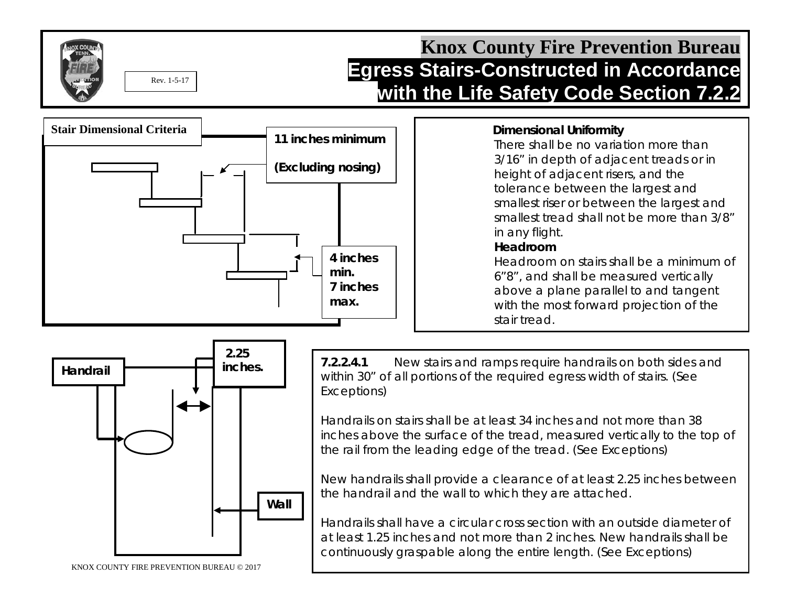